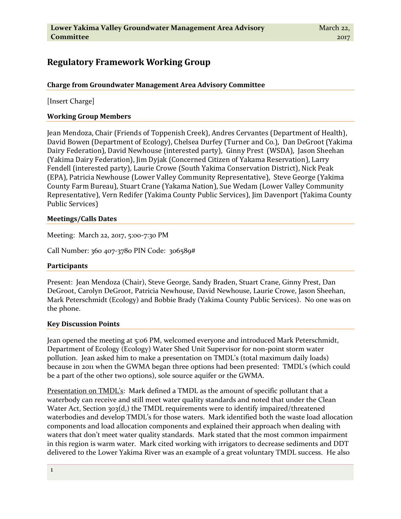# **Regulatory Framework Working Group**

## **Charge from Groundwater Management Area Advisory Committee**

[Insert Charge]

### **Working Group Members**

Jean Mendoza, Chair (Friends of Toppenish Creek), Andres Cervantes (Department of Health), David Bowen (Department of Ecology), Chelsea Durfey (Turner and Co.), Dan DeGroot (Yakima Dairy Federation), David Newhouse (interested party), Ginny Prest (WSDA), Jason Sheehan (Yakima Dairy Federation), Jim Dyjak (Concerned Citizen of Yakama Reservation), Larry Fendell (interested party), Laurie Crowe (South Yakima Conservation District), Nick Peak (EPA), Patricia Newhouse (Lower Valley Community Representative), Steve George (Yakima County Farm Bureau), Stuart Crane (Yakama Nation), Sue Wedam (Lower Valley Community Representative), Vern Redifer (Yakima County Public Services), Jim Davenport (Yakima County Public Services)

### **Meetings/Calls Dates**

Meeting: March 22, 2017, 5:00-7:30 PM

Call Number: 360 407-3780 PIN Code: 306589#

### **Participants**

Present: Jean Mendoza (Chair), Steve George, Sandy Braden, Stuart Crane, Ginny Prest, Dan DeGroot, Carolyn DeGroot, Patricia Newhouse, David Newhouse, Laurie Crowe, Jason Sheehan, Mark Peterschmidt (Ecology) and Bobbie Brady (Yakima County Public Services). No one was on the phone.

### **Key Discussion Points**

Jean opened the meeting at 5:06 PM, welcomed everyone and introduced Mark Peterschmidt, Department of Ecology (Ecology) Water Shed Unit Supervisor for non-point storm water pollution. Jean asked him to make a presentation on TMDL's (total maximum daily loads) because in 2011 when the GWMA began three options had been presented: TMDL's (which could be a part of the other two options), sole source aquifer or the GWMA.

Presentation on TMDL's: Mark defined a TMDL as the amount of specific pollutant that a waterbody can receive and still meet water quality standards and noted that under the Clean Water Act, Section 303(d,) the TMDL requirements were to identify impaired/threatened waterbodies and develop TMDL's for those waters. Mark identified both the waste load allocation components and load allocation components and explained their approach when dealing with waters that don't meet water quality standards. Mark stated that the most common impairment in this region is warm water. Mark cited working with irrigators to decrease sediments and DDT delivered to the Lower Yakima River was an example of a great voluntary TMDL success. He also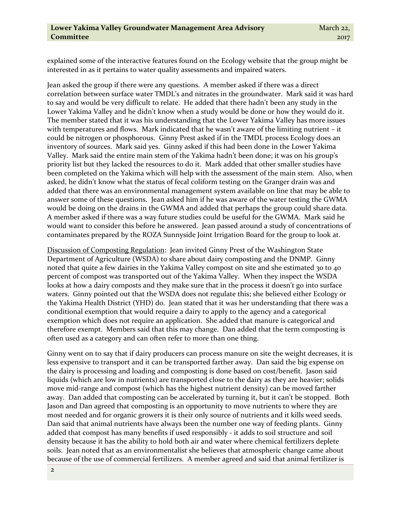explained some of the interactive features found on the Ecology website that the group might be interested in as it pertains to water quality assessments and impaired waters.

Jean asked the group if there were any questions. A member asked if there was a direct correlation between surface water TMDL's and nitrates in the groundwater. Mark said it was hard to say and would be very difficult to relate. He added that there hadn't been any study in the Lower Yakima Valley and he didn't know when a study would be done or how they would do it. The member stated that it was his understanding that the Lower Yakima Valley has more issues with temperatures and flows. Mark indicated that he wasn't aware of the limiting nutrient – it could be nitrogen or phosphorous. Ginny Prest asked if in the TMDL process Ecology does an inventory of sources. Mark said yes. Ginny asked if this had been done in the Lower Yakima Valley. Mark said the entire main stem of the Yakima hadn't been done; it was on his group's priority list but they lacked the resources to do it. Mark added that other smaller studies have been completed on the Yakima which will help with the assessment of the main stem. Also, when asked, he didn't know what the status of fecal coliform testing on the Granger drain was and added that there was an environmental management system available on line that may be able to answer some of these questions. Jean asked him if he was aware of the water testing the GWMA would be doing on the drains in the GWMA and added that perhaps the group could share data. A member asked if there was a way future studies could be useful for the GWMA. Mark said he would want to consider this before he answered. Jean passed around a study of concentrations of contaminates prepared by the ROZA Sunnyside Joint Irrigation Board for the group to look at.

Discussion of Composting Regulation: Jean invited Ginny Prest of the Washington State Department of Agriculture (WSDA) to share about dairy composting and the DNMP. Ginny noted that quite a few dairies in the Yakima Valley compost on site and she estimated 30 to 40 percent of compost was transported out of the Yakima Valley. When they inspect the WSDA looks at how a dairy composts and they make sure that in the process it doesn't go into surface waters. Ginny pointed out that the WSDA does not regulate this; she believed either Ecology or the Yakima Health District (YHD) do. Jean stated that it was her understanding that there was a conditional exemption that would require a dairy to apply to the agency and a categorical exemption which does not require an application. She added that manure is categorical and therefore exempt. Members said that this may change. Dan added that the term composting is often used as a category and can often refer to more than one thing.

Ginny went on to say that if dairy producers can process manure on site the weight decreases, it is less expensive to transport and it can be transported farther away. Dan said the big expense on the dairy is processing and loading and composting is done based on cost/benefit. Jason said liquids (which are low in nutrients) are transported close to the dairy as they are heavier; solids move mid-range and compost (which has the highest nutrient density) can be moved farther away. Dan added that composting can be accelerated by turning it, but it can't be stopped. Both Jason and Dan agreed that composting is an opportunity to move nutrients to where they are most needed and for organic growers it is their only source of nutrients and it kills weed seeds. Dan said that animal nutrients have always been the number one way of feeding plants. Ginny added that compost has many benefits if used responsibly - it adds to soil structure and soil density because it has the ability to hold both air and water where chemical fertilizers deplete soils. Jean noted that as an environmentalist she believes that atmospheric change came about because of the use of commercial fertilizers. A member agreed and said that animal fertilizer is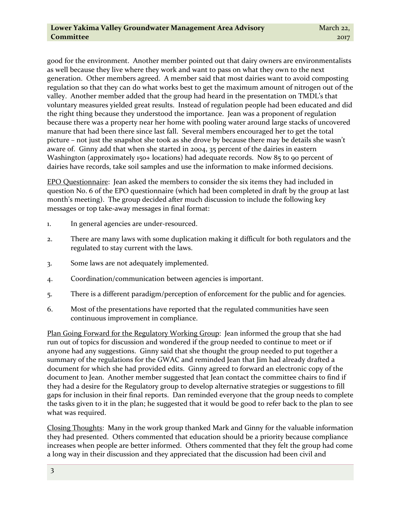good for the environment. Another member pointed out that dairy owners are environmentalists as well because they live where they work and want to pass on what they own to the next generation. Other members agreed. A member said that most dairies want to avoid composting regulation so that they can do what works best to get the maximum amount of nitrogen out of the valley. Another member added that the group had heard in the presentation on TMDL's that voluntary measures yielded great results. Instead of regulation people had been educated and did the right thing because they understood the importance. Jean was a proponent of regulation because there was a property near her home with pooling water around large stacks of uncovered manure that had been there since last fall. Several members encouraged her to get the total picture – not just the snapshot she took as she drove by because there may be details she wasn't aware of. Ginny add that when she started in 2004, 35 percent of the dairies in eastern Washington (approximately 150+ locations) had adequate records. Now 85 to 90 percent of dairies have records, take soil samples and use the information to make informed decisions.

EPO Questionnaire: Jean asked the members to consider the six items they had included in question No. 6 of the EPO questionnaire (which had been completed in draft by the group at last month's meeting). The group decided after much discussion to include the following key messages or top take-away messages in final format:

- 1. In general agencies are under-resourced.
- 2. There are many laws with some duplication making it difficult for both regulators and the regulated to stay current with the laws.
- 3. Some laws are not adequately implemented.
- 4. Coordination/communication between agencies is important.
- 5. There is a different paradigm/perception of enforcement for the public and for agencies.
- 6. Most of the presentations have reported that the regulated communities have seen continuous improvement in compliance.

Plan Going Forward for the Regulatory Working Group: Jean informed the group that she had run out of topics for discussion and wondered if the group needed to continue to meet or if anyone had any suggestions. Ginny said that she thought the group needed to put together a summary of the regulations for the GWAC and reminded Jean that Jim had already drafted a document for which she had provided edits. Ginny agreed to forward an electronic copy of the document to Jean. Another member suggested that Jean contact the committee chairs to find if they had a desire for the Regulatory group to develop alternative strategies or suggestions to fill gaps for inclusion in their final reports. Dan reminded everyone that the group needs to complete the tasks given to it in the plan; he suggested that it would be good to refer back to the plan to see what was required.

Closing Thoughts: Many in the work group thanked Mark and Ginny for the valuable information they had presented. Others commented that education should be a priority because compliance increases when people are better informed. Others commented that they felt the group had come a long way in their discussion and they appreciated that the discussion had been civil and